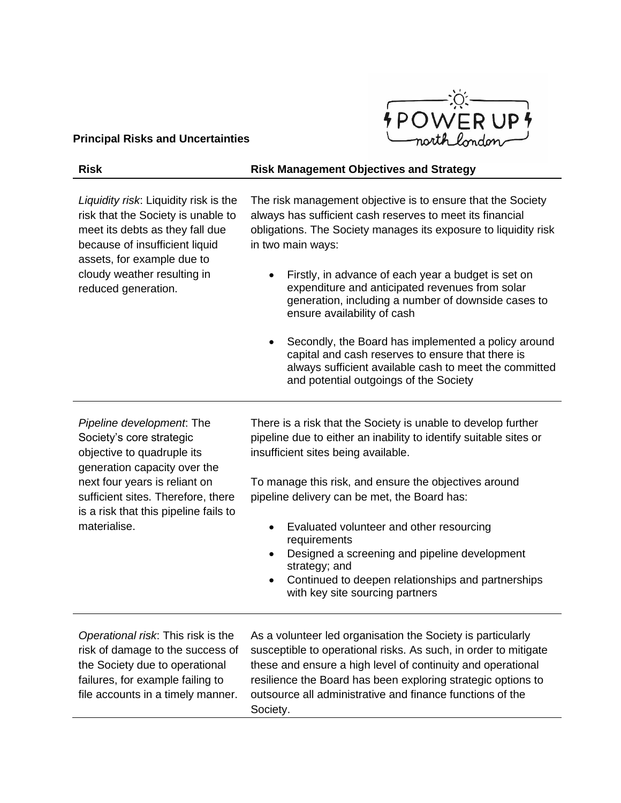

## **Principal Risks and Uncertainties**

## **Risk Risk Management Objectives and Strategy**

*Liquidity risk*: Liquidity risk is the risk that the Society is unable to meet its debts as they fall due because of insufficient liquid assets, for example due to cloudy weather resulting in reduced generation.

The risk management objective is to ensure that the Society always has sufficient cash reserves to meet its financial obligations. The Society manages its exposure to liquidity risk in two main ways:

- Firstly, in advance of each year a budget is set on expenditure and anticipated revenues from solar generation, including a number of downside cases to ensure availability of cash
- Secondly, the Board has implemented a policy around capital and cash reserves to ensure that there is always sufficient available cash to meet the committed and potential outgoings of the Society

*Pipeline development*: The Society's core strategic objective to quadruple its generation capacity over the next four years is reliant on sufficient sites. Therefore, there is a risk that this pipeline fails to materialise.

There is a risk that the Society is unable to develop further pipeline due to either an inability to identify suitable sites or insufficient sites being available.

To manage this risk, and ensure the objectives around pipeline delivery can be met, the Board has:

- Evaluated volunteer and other resourcing requirements
- Designed a screening and pipeline development strategy; and
- Continued to deepen relationships and partnerships with key site sourcing partners

*Operational risk*: This risk is the risk of damage to the success of the Society due to operational failures, for example failing to file accounts in a timely manner.

As a volunteer led organisation the Society is particularly susceptible to operational risks. As such, in order to mitigate these and ensure a high level of continuity and operational resilience the Board has been exploring strategic options to outsource all administrative and finance functions of the Society.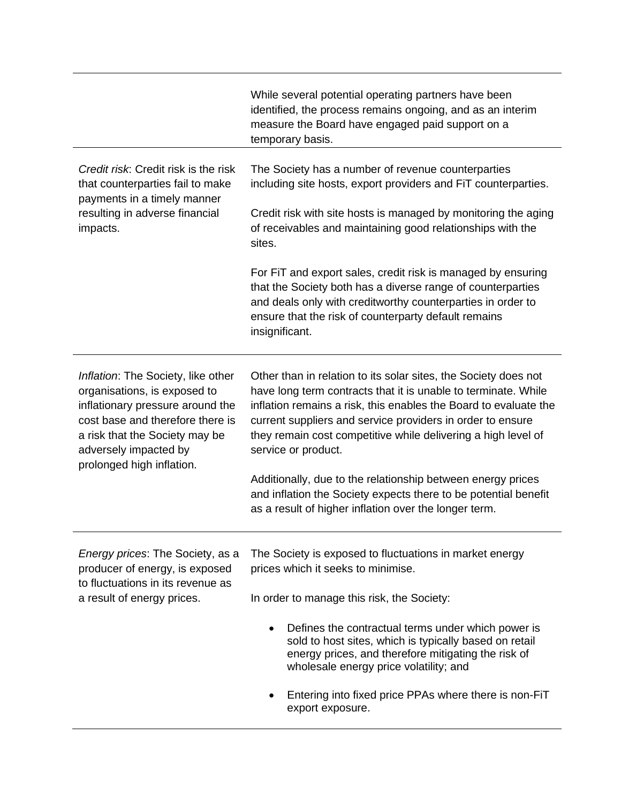|                                                                                                                                                                                                                                    | While several potential operating partners have been<br>identified, the process remains ongoing, and as an interim<br>measure the Board have engaged paid support on a<br>temporary basis.                                                                                                                                                                  |
|------------------------------------------------------------------------------------------------------------------------------------------------------------------------------------------------------------------------------------|-------------------------------------------------------------------------------------------------------------------------------------------------------------------------------------------------------------------------------------------------------------------------------------------------------------------------------------------------------------|
| Credit risk: Credit risk is the risk<br>that counterparties fail to make<br>payments in a timely manner<br>resulting in adverse financial<br>impacts.                                                                              | The Society has a number of revenue counterparties<br>including site hosts, export providers and FiT counterparties.                                                                                                                                                                                                                                        |
|                                                                                                                                                                                                                                    | Credit risk with site hosts is managed by monitoring the aging<br>of receivables and maintaining good relationships with the<br>sites.                                                                                                                                                                                                                      |
|                                                                                                                                                                                                                                    | For FiT and export sales, credit risk is managed by ensuring<br>that the Society both has a diverse range of counterparties<br>and deals only with creditworthy counterparties in order to<br>ensure that the risk of counterparty default remains<br>insignificant.                                                                                        |
| Inflation: The Society, like other<br>organisations, is exposed to<br>inflationary pressure around the<br>cost base and therefore there is<br>a risk that the Society may be<br>adversely impacted by<br>prolonged high inflation. | Other than in relation to its solar sites, the Society does not<br>have long term contracts that it is unable to terminate. While<br>inflation remains a risk, this enables the Board to evaluate the<br>current suppliers and service providers in order to ensure<br>they remain cost competitive while delivering a high level of<br>service or product. |
|                                                                                                                                                                                                                                    | Additionally, due to the relationship between energy prices<br>and inflation the Society expects there to be potential benefit<br>as a result of higher inflation over the longer term.                                                                                                                                                                     |
| <i>Energy prices:</i> The Society, as a<br>producer of energy, is exposed<br>to fluctuations in its revenue as<br>a result of energy prices.                                                                                       | The Society is exposed to fluctuations in market energy<br>prices which it seeks to minimise.                                                                                                                                                                                                                                                               |
|                                                                                                                                                                                                                                    | In order to manage this risk, the Society:                                                                                                                                                                                                                                                                                                                  |
|                                                                                                                                                                                                                                    | Defines the contractual terms under which power is<br>٠<br>sold to host sites, which is typically based on retail<br>energy prices, and therefore mitigating the risk of<br>wholesale energy price volatility; and                                                                                                                                          |

• Entering into fixed price PPAs where there is non-FiT export exposure.